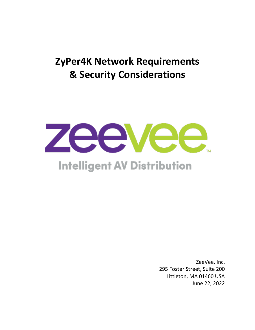# **ZyPer4K Network Requirements & Security Considerations**



# **Intelligent AV Distribution**

ZeeVee, Inc. 295 Foster Street, Suite 200 Littleton, MA 01460 USA June 22, 2022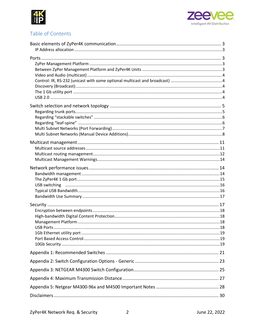



## Table of Contents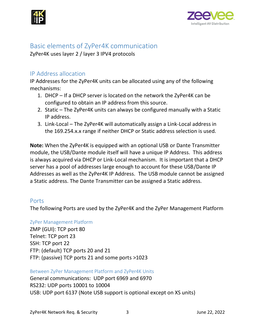



## <span id="page-2-0"></span>Basic elements of ZyPer4K communication

ZyPer4K uses layer 2 / layer 3 IPV4 protocols

## <span id="page-2-1"></span>IP Address allocation

IP Addresses for the ZyPer4K units can be allocated using any of the following mechanisms:

- 1. DHCP If a DHCP server is located on the network the ZyPer4K can be configured to obtain an IP address from this source.
- 2. Static The ZyPer4K units can always be configured manually with a Static IP address.
- 3. Link-Local The ZyPer4K will automatically assign a Link-Local address in the 169.254.x.x range if neither DHCP or Static address selection is used.

**Note:** When the ZyPer4K is equipped with an optional USB or Dante Transmitter module, the USB/Dante module itself will have a unique IP Address. This address is always acquired via DHCP or Link-Local mechanism. It is important that a DHCP server has a pool of addresses large enough to account for these USB/Dante IP Addresses as well as the ZyPer4K IP Address. The USB module cannot be assigned a Static address. The Dante Transmitter can be assigned a Static address.

## <span id="page-2-2"></span>Ports

The following Ports are used by the ZyPer4K and the ZyPer Management Platform

<span id="page-2-3"></span>ZyPer Management Platform

ZMP (GUI): TCP port 80 Telnet: TCP port 23 SSH: TCP port 22 FTP: (default) TCP ports 20 and 21 FTP: (passive) TCP ports 21 and some ports >1023

<span id="page-2-4"></span>Between ZyPer Management Platform and ZyPer4K Units

General communications: UDP port 6969 and 6970 RS232: UDP ports 10001 to 10004 USB: UDP port 6137 (Note USB support is optional except on XS units)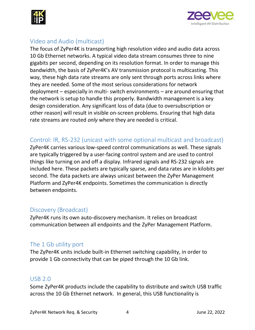



## <span id="page-3-0"></span>Video and Audio (multicast)

The focus of ZyPer4K is transporting high resolution video and audio data across 10 Gb Ethernet networks. A typical video data stream consumes three to nine gigabits per second, depending on its resolution format. In order to manage this bandwidth, the basis of ZyPer4K's AV transmission protocol is multicasting. This way, these high data rate streams are only sent through ports across links where they are needed. Some of the most serious considerations for network deployment – especially in multi- switch environments – are around ensuring that the network is setup to handle this properly. Bandwidth management is a key design consideration. Any significant loss of data (due to oversubscription or other reason) will result in visible on-screen problems. Ensuring that high data rate streams are routed *only* where they are needed is critical.

## <span id="page-3-1"></span>Control: IR, RS-232 (unicast with some optional multicast and broadcast)

ZyPer4K carries various low-speed control communications as well. These signals are typically triggered by a user-facing control system and are used to control things like turning on and off a display. Infrared signals and RS-232 signals are included here. These packets are typically sparse, and data rates are in kilobits per second. The data packets are always unicast between the ZyPer Management Platform and ZyPer4K endpoints. Sometimes the communication is directly between endpoints.

## <span id="page-3-2"></span>Discovery (Broadcast)

ZyPer4K runs its own auto-discovery mechanism. It relies on broadcast communication between all endpoints and the ZyPer Management Platform.

## <span id="page-3-3"></span>The 1 Gb utility port

The ZyPer4K units include built-in Ethernet switching capability, in order to provide 1 Gb connectivity that can be piped through the 10 Gb link.

## <span id="page-3-4"></span>USB 2.0

Some ZyPer4K products include the capability to distribute and switch USB traffic across the 10 Gb Ethernet network. In general, this USB functionality is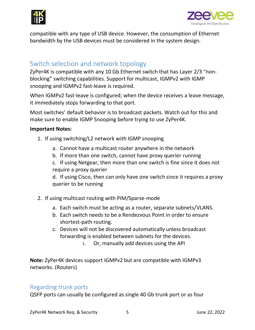



compatible with any type of USB device. However, the consumption of Ethernet bandwidth by the USB devices must be considered in the system design.

## <span id="page-4-0"></span>Switch selection and network topology

ZyPer4K is compatible with any 10 Gb Ethernet switch that has Layer 2/3 "nonblocking" switching capabilities. Support for multicast, IGMPv2 with IGMP snooping and IGMPv2 fast-leave is required.

When IGMPv2 fast-leave is configured; when the device receives a leave message, it immediately stops forwarding to that port.

Most switches' default behavior is to broadcast packets. Watch out for this and make sure to enable IGMP Snooping before trying to use ZyPer4K.

#### **Important Notes:**

- 1. If using switching/L2 network with IGMP snooping
	- a. Cannot have a multicast router anywhere in the network
	- b. If more than one switch, cannot have proxy querier running
	- c. If using Netgear, then more than one switch is fine since it does not require a proxy querier

d. If using Cisco, then can only have one switch since it requires a proxy querier to be running

- 2. If using multicast routing with PIM/Sparse-mode
	- a. Each switch must be acting as a router, separate subnets/VLANS.
	- b. Each switch needs to be a Rendezvous Point in order to ensure shortest-path routing.
	- c. Devices will not be discovered automatically unless broadcast forwarding is enabled between subnets for the devices.
		- i. Or, manually add devices using the API

**Note:** ZyPer4K devices support IGMPv2 but are compatible with IGMPv3 networks. (Routers)

#### <span id="page-4-1"></span>Regarding trunk ports

QSFP ports can usually be configured as single 40 Gb trunk port or as four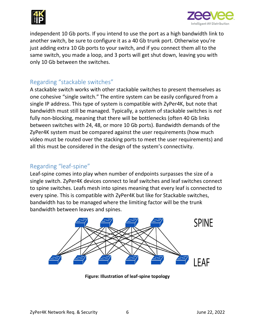



independent 10 Gb ports. If you intend to use the port as a high bandwidth link to another switch, be sure to configure it as a 40 Gb trunk port. Otherwise you're just adding extra 10 Gb ports to your switch, and if you connect them all to the same switch, you made a loop, and 3 ports will get shut down, leaving you with only 10 Gb between the switches.

## <span id="page-5-0"></span>Regarding "stackable switches"

A stackable switch works with other stackable switches to present themselves as one cohesive "single switch." The entire system can be easily configured from a single IP address. This type of system is compatible with ZyPer4K, but note that bandwidth must still be managed. Typically, a system of stackable switches is *not*  fully non-blocking, meaning that there will be bottlenecks (often 40 Gb links between switches with 24, 48, or more 10 Gb ports). Bandwidth demands of the ZyPer4K system must be compared against the user requirements (how much video must be routed over the stacking ports to meet the user requirements) and all this must be considered in the design of the system's connectivity.

## <span id="page-5-1"></span>Regarding "leaf-spine"

Leaf-spine comes into play when number of endpoints surpasses the size of a single switch. ZyPer4K devices connect to leaf switches and leaf switches connect to spine switches. Leafs mesh into spines meaning that every leaf is connected to every spine. This is compatible with ZyPer4K but like for Stackable switches, bandwidth has to be managed where the limiting factor will be the trunk bandwidth between leaves and spines.



**Figure: Illustration of leaf-spine topology**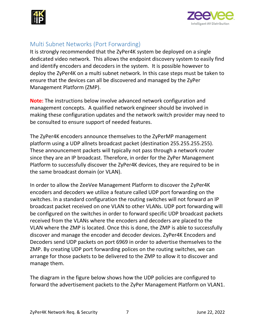



## <span id="page-6-0"></span>Multi Subnet Networks (Port Forwarding)

It is strongly recommended that the ZyPer4K system be deployed on a single dedicated video network. This allows the endpoint discovery system to easily find and identify encoders and decoders in the system. It is possible however to deploy the ZyPer4K on a multi subnet network. In this case steps must be taken to ensure that the devices can all be discovered and managed by the ZyPer Management Platform (ZMP).

**Note:** The instructions below involve advanced network configuration and management concepts. A qualified network engineer should be involved in making these configuration updates and the network switch provider may need to be consulted to ensure support of needed features.

The ZyPer4K encoders announce themselves to the ZyPerMP management platform using a UDP allnets broadcast packet (destination 255.255.255.255). These announcement packets will typically not pass through a network router since they are an IP broadcast. Therefore, in order for the ZyPer Management Platform to successfully discover the ZyPer4K devices, they are required to be in the same broadcast domain (or VLAN).

In order to allow the ZeeVee Management Platform to discover the ZyPer4K encoders and decoders we utilize a feature called UDP port forwarding on the switches. In a standard configuration the routing switches will not forward an IP broadcast packet received on one VLAN to other VLANs. UDP port forwarding will be configured on the switches in order to forward specific UDP broadcast packets received from the VLANs where the encoders and decoders are placed to the VLAN where the ZMP is located. Once this is done, the ZMP is able to successfully discover and manage the encoder and decoder devices. ZyPer4K Encoders and Decoders send UDP packets on port 6969 in order to advertise themselves to the ZMP. By creating UDP port forwarding polices on the routing switches, we can arrange for those packets to be delivered to the ZMP to allow it to discover and manage them.

The diagram in the figure below shows how the UDP policies are configured to forward the advertisement packets to the ZyPer Management Platform on VLAN1.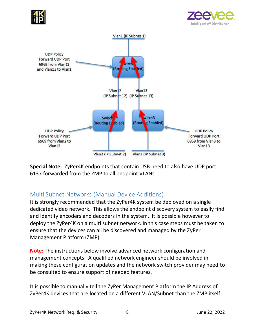





**Special Note:** ZyPer4K endpoints that contain USB need to also have UDP port 6137 forwarded from the ZMP to all endpoint VLANs.

## <span id="page-7-0"></span>Multi Subnet Networks (Manual Device Additions)

It is strongly recommended that the ZyPer4K system be deployed on a single dedicated video network. This allows the endpoint discovery system to easily find and identify encoders and decoders in the system. It is possible however to deploy the ZyPer4K on a multi subnet network. In this case steps must be taken to ensure that the devices can all be discovered and managed by the ZyPer Management Platform (ZMP).

**Note:** The instructions below involve advanced network configuration and management concepts. A qualified network engineer should be involved in making these configuration updates and the network switch provider may need to be consulted to ensure support of needed features.

It is possible to manually tell the ZyPer Management Platform the IP Address of ZyPer4K devices that are located on a different VLAN/Subnet than the ZMP itself.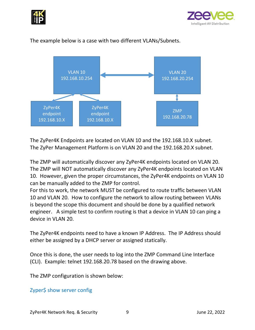



The example below is a case with two different VLANs/Subnets.



The ZyPer4K Endpoints are located on VLAN 10 and the 192.168.10.X subnet. The ZyPer Management Platform is on VLAN 20 and the 192.168.20.X subnet.

The ZMP will automatically discover any ZyPer4K endpoints located on VLAN 20. The ZMP will NOT automatically discover any ZyPer4K endpoints located on VLAN 10. However, given the proper circumstances, the ZyPer4K endpoints on VLAN 10 can be manually added to the ZMP for control.

For this to work, the network MUST be configured to route traffic between VLAN 10 and VLAN 20. How to configure the network to allow routing between VLANs is beyond the scope this document and should be done by a qualified network engineer. A simple test to confirm routing is that a device in VLAN 10 can ping a device in VLAN 20.

The ZyPer4K endpoints need to have a known IP Address. The IP Address should either be assigned by a DHCP server or assigned statically.

Once this is done, the user needs to log into the ZMP Command Line Interface (CLI). Example: telnet 192.168.20.78 based on the drawing above.

The ZMP configuration is shown below:

Zyper\$ show server config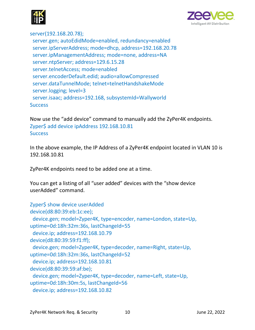



server(192.168.20.78);

 server.gen; autoEdidMode=enabled, redundancy=enabled server.ipServerAddress; mode=dhcp, address=192.168.20.78 server.ipManagementAddress; mode=none, address=NA server.ntpServer; address=129.6.15.28 server.telnetAccess; mode=enabled server.encoderDefault.edid; audio=allowCompressed server.dataTunnelMode; telnet=telnetHandshakeMode server.logging; level=3 server.isaac; address=192.168, subsystemId=Wallyworld **Success** 

Now use the "add device" command to manually add the ZyPer4K endpoints. Zyper\$ add device ipAddress 192.168.10.81 **Success** 

In the above example, the IP Address of a ZyPer4K endpoint located in VLAN 10 is 192.168.10.81

ZyPer4K endpoints need to be added one at a time.

You can get a listing of all "user added" devices with the "show device userAdded" command.

```
Zyper$ show device userAdded
device(d8:80:39:eb:1c:ee);
  device.gen; model=Zyper4K, type=encoder, name=London, state=Up, 
uptime=0d:18h:32m:36s, lastChangeId=55
  device.ip; address=192.168.10.79
device(d8:80:39:59:f1:ff);
  device.gen; model=Zyper4K, type=decoder, name=Right, state=Up, 
uptime=0d:18h:32m:36s, lastChangeId=52
  device.ip; address=192.168.10.81
device(d8:80:39:59:af:be);
  device.gen; model=Zyper4K, type=decoder, name=Left, state=Up, 
uptime=0d:18h:30m:5s, lastChangeId=56
  device.ip; address=192.168.10.82
```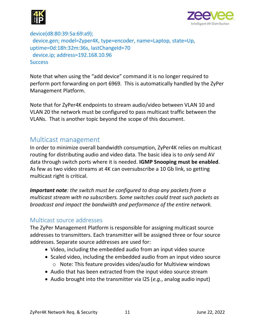



device(d8:80:39:5a:69:a9); device.gen; model=Zyper4K, type=encoder, name=Laptop, state=Up, uptime=0d:18h:32m:36s, lastChangeId=70 device.ip; address=192.168.10.96 **Success** 

Note that when using the "add device" command it is no longer required to perform port forwarding on port 6969. This is automatically handled by the ZyPer Management Platform.

Note that for ZyPer4K endpoints to stream audio/video between VLAN 10 and VLAN 20 the network must be configured to pass multicast traffic between the VLANs. That is another topic beyond the scope of this document.

## <span id="page-10-0"></span>Multicast management

In order to minimize overall bandwidth consumption, ZyPer4K relies on multicast routing for distributing audio and video data. The basic idea is to *only* send AV data through switch ports where it is needed. **IGMP Snooping must be enabled**. As few as two video streams at 4K can oversubscribe a 10 Gb link, so getting multicast right is critical.

*Important note: the switch must be configured to drop any packets from a multicast stream with no subscribers. Some switches could treat such packets as broadcast and impact the bandwidth and performance of the entire network.* 

## <span id="page-10-1"></span>Multicast source addresses

The ZyPer Management Platform is responsible for assigning multicast source addresses to transmitters. Each transmitter will be assigned three or four source addresses. Separate source addresses are used for:

- Video, including the embedded audio from an input video source
- Scaled video, including the embedded audio from an input video source o Note: This feature provides video/audio for Multiview windows
- Audio that has been extracted from the input video source stream
- Audio brought into the transmitter via I2S (*e.g.*, analog audio input)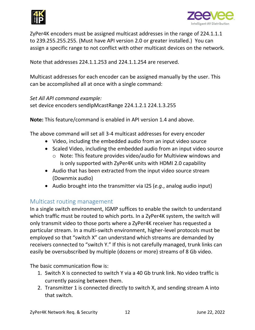



ZyPer4K encoders must be assigned multicast addresses in the range of 224.1.1.1 to 239.255.255.255. (Must have API version 2.0 or greater installed.) You can assign a specific range to not conflict with other multicast devices on the network.

Note that addresses 224.1.1.253 and 224.1.1.254 are reserved.

Multicast addresses for each encoder can be assigned manually by the user. This can be accomplished all at once with a single command:

#### *Set All API command example:*

set device encoders sendIpMcastRange 224.1.2.1 224.1.3.255

**Note:** This feature/command is enabled in API version 1.4 and above.

The above command will set all 3-4 multicast addresses for every encoder

- Video, including the embedded audio from an input video source
- Scaled Video, including the embedded audio from an input video source
	- o Note: This feature provides video/audio for Multiview windows and is only supported with ZyPer4K units with HDMI 2.0 capability
- Audio that has been extracted from the input video source stream (Downmix audio)
- Audio brought into the transmitter via I2S (*e.g.*, analog audio input)

## <span id="page-11-0"></span>Multicast routing management

In a single switch environment, IGMP suffices to enable the switch to understand which traffic must be routed to which ports. In a ZyPer4K system, the switch will only transmit video to those ports where a ZyPer4K receiver has requested a particular stream. In a multi-switch environment, higher-level protocols must be employed so that "switch X" can understand which streams are demanded by receivers connected to "switch Y." If this is not carefully managed, trunk links can easily be oversubscribed by multiple (dozens or more) streams of 8 Gb video.

The basic communication flow is:

- 1. Switch X is connected to switch Y via a 40 Gb trunk link. No video traffic is currently passing between them.
- 2. Transmitter 1 is connected directly to switch X, and sending stream A into that switch.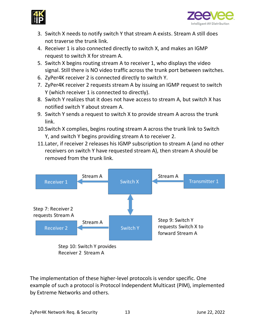



- 3. Switch X needs to notify switch Y that stream A exists. Stream A still does not traverse the trunk link.
- 4. Receiver 1 is also connected directly to switch X, and makes an IGMP request to switch X for stream A.
- 5. Switch X begins routing stream A to receiver 1, who displays the video signal. Still there is NO video traffic across the trunk port between switches.
- 6. ZyPer4K receiver 2 is connected directly to switch Y.
- 7. ZyPer4K receiver 2 requests stream A by issuing an IGMP request to switch Y (which receiver 1 is connected to directly).
- 8. Switch Y realizes that it does not have access to stream A, but switch X has notified switch Y about stream A.
- 9. Switch Y sends a request to switch X to provide stream A across the trunk link.
- 10.Switch X complies, begins routing stream A across the trunk link to Switch Y, and switch Y begins providing stream A to receiver 2.
- 11.Later, if receiver 2 releases his IGMP subscription to stream A (and no other receivers on switch Y have requested stream A), then stream A should be removed from the trunk link.



Receiver 2 Stream A

The implementation of these higher-level protocols is vendor specific. One example of such a protocol is Protocol Independent Multicast (PIM), implemented by Extreme Networks and others.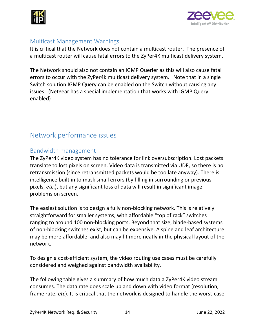



## <span id="page-13-0"></span>Multicast Management Warnings

It is critical that the Network does not contain a multicast router. The presence of a multicast router will cause fatal errors to the ZyPer4K multicast delivery system.

The Network should also not contain an IGMP Querier as this will also cause fatal errors to occur with the ZyPer4k multicast delivery system. Note that in a single Switch solution IGMP Query can be enabled on the Switch without causing any issues. (Netgear has a special implementation that works with IGMP Query enabled)

# <span id="page-13-1"></span>Network performance issues

## <span id="page-13-2"></span>Bandwidth management

The ZyPer4K video system has no tolerance for link oversubscription. Lost packets translate to lost pixels on screen. Video data is transmitted via UDP, so there is no retransmission (since retransmitted packets would be too late anyway). There is intelligence built in to mask small errors (by filling in surrounding or previous pixels, *etc*.), but any significant loss of data will result in significant image problems on screen.

The easiest solution is to design a fully non-blocking network. This is relatively straightforward for smaller systems, with affordable "top of rack" switches ranging to around 100 non-blocking ports. Beyond that size, blade-based systems of non-blocking switches exist, but can be expensive. A spine and leaf architecture may be more affordable, and also may fit more neatly in the physical layout of the network.

To design a cost-efficient system, the video routing use cases must be carefully considered and weighed against bandwidth availability.

The following table gives a summary of how much data a ZyPer4K video stream consumes. The data rate does scale up and down with video format (resolution, frame rate, *etc*). It is critical that the network is designed to handle the worst-case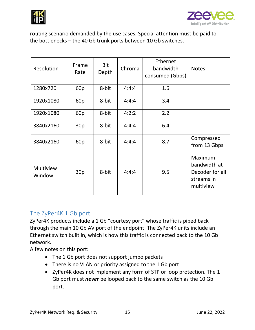



routing scenario demanded by the use cases. Special attention must be paid to the bottlenecks – the 40 Gb trunk ports between 10 Gb switches.

| Resolution          | Frame<br>Rate            | <b>Bit</b><br>Depth | Chroma | Ethernet<br>bandwidth<br>consumed (Gbps) | <b>Notes</b>                                                          |
|---------------------|--------------------------|---------------------|--------|------------------------------------------|-----------------------------------------------------------------------|
| 1280x720            | 60 <sub>p</sub>          | 8-bit               | 4:4:4  | 1.6                                      |                                                                       |
| 1920x1080           | 60 <sub>p</sub>          | 8-bit               | 4:4:4  | 3.4                                      |                                                                       |
| 1920x1080           | 8-bit<br>60 <sub>p</sub> |                     | 4:2:2  | 2.2                                      |                                                                       |
| 3840x2160           | 30 <sub>p</sub>          | 8-bit               | 4:4:4  | 6.4                                      |                                                                       |
| 3840x2160           | 60 <sub>p</sub>          | 8-bit               | 4:4:4  | 8.7                                      | Compressed<br>from 13 Gbps                                            |
| Multiview<br>Window | 30p                      | 8-bit               | 4:4:4  | 9.5                                      | Maximum<br>bandwidth at<br>Decoder for all<br>streams in<br>multiview |

## <span id="page-14-0"></span>The ZyPer4K 1 Gb port

ZyPer4K products include a 1 Gb "courtesy port" whose traffic is piped back through the main 10 Gb AV port of the endpoint. The ZyPer4K units include an Ethernet switch built in, which is how this traffic is connected back to the 10 Gb network.

A few notes on this port:

- The 1 Gb port does not support jumbo packets
- There is no VLAN or priority assigned to the 1 Gb port
- ZyPer4K does not implement any form of STP or loop protection. The 1 Gb port must *never* be looped back to the same switch as the 10 Gb port.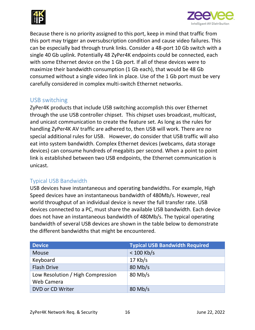



Because there is no priority assigned to this port, keep in mind that traffic from this port may trigger an oversubscription condition and cause video failures. This can be especially bad through trunk links. Consider a 48-port 10 Gb switch with a single 40 Gb uplink. Potentially 48 ZyPer4K endpoints could be connected, each with some Ethernet device on the 1 Gb port. If all of these devices were to maximize their bandwidth consumption (1 Gb each), that would be 48 Gb consumed without a single video link in place. Use of the 1 Gb port must be very carefully considered in complex multi-switch Ethernet networks.

## <span id="page-15-0"></span>USB switching

ZyPer4K products that include USB switching accomplish this over Ethernet through the use USB controller chipset. This chipset uses broadcast, multicast, and unicast communication to create the feature set. As long as the rules for handling ZyPer4K AV traffic are adhered to, then USB will work. There are no special additional rules for USB. However, do consider that USB traffic will also eat into system bandwidth. Complex Ethernet devices (webcams, data storage devices) can consume hundreds of megabits per second. When a point to point link is established between two USB endpoints, the Ethernet communication is unicast.

## <span id="page-15-1"></span>Typical USB Bandwidth

USB devices have instantaneous and operating bandwidths. For example, High Speed devices have an instantaneous bandwidth of 480Mb/s. However, real world throughput of an individual device is never the full transfer rate. USB devices connected to a PC, must share the available USB bandwidth. Each device does not have an instantaneous bandwidth of 480Mb/s. The typical operating bandwidth of several USB devices are shown in the table below to demonstrate the different bandwidths that might be encountered.

| <b>Device</b>                     | <b>Typical USB Bandwidth Required</b> |
|-----------------------------------|---------------------------------------|
| <b>Mouse</b>                      | $< 100$ Kb/s                          |
| Keyboard                          | $17$ Kb/s                             |
| <b>Flash Drive</b>                | $80$ Mb/s                             |
| Low Resolution / High Compression | $80$ Mb/s                             |
| Web Camera                        |                                       |
| DVD or CD Writer                  | $80$ Mb/s                             |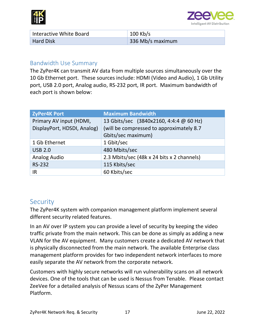



| Interactive White Board | $100$ Kb/s       |
|-------------------------|------------------|
| <b>Hard Disk</b>        | 336 Mb/s maximum |

#### <span id="page-16-0"></span>Bandwidth Use Summary

The ZyPer4K can transmit AV data from multiple sources simultaneously over the 10 Gb Ethernet port. These sources include: HDMI (Video and Audio), 1 Gb Utility port, USB 2.0 port, Analog audio, RS-232 port, IR port. Maximum bandwidth of each port is shown below:

| <b>ZyPer4K Port</b>         | <b>Maximum Bandwidth</b>                   |
|-----------------------------|--------------------------------------------|
| Primary AV input (HDMI,     | 13 Gbits/sec (3840x2160, 4:4:4 @ 60 Hz)    |
| DisplayPort, HDSDI, Analog) | (will be compressed to approximately 8.7   |
|                             | Gbits/sec maximum)                         |
| 1 Gb Ethernet               | 1 Gbit/sec                                 |
| <b>USB 2.0</b>              | 480 Mbits/sec                              |
| Analog Audio                | 2.3 Mbits/sec (48k x 24 bits x 2 channels) |
| <b>RS-232</b>               | 115 Kbits/sec                              |
| IR                          | 60 Kbits/sec                               |

## <span id="page-16-1"></span>**Security**

The ZyPer4K system with companion management platform implement several different security related features.

In an AV over IP system you can provide a level of security by keeping the video traffic private from the main network. This can be done as simply as adding a new VLAN for the AV equipment. Many customers create a dedicated AV network that is physically disconnected from the main network. The available Enterprise class management platform provides for two independent network interfaces to more easily separate the AV network from the corporate network.

Customers with highly secure networks will run vulnerability scans on all network devices. One of the tools that can be used is Nessus from Tenable. Please contact ZeeVee for a detailed analysis of Nessus scans of the ZyPer Management Platform.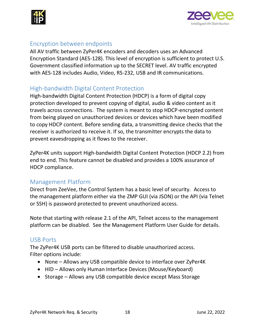



## <span id="page-17-0"></span>Encryption between endpoints

All AV traffic between ZyPer4K encoders and decoders uses an Advanced Encryption Standard (AES-128). This level of encryption is sufficient to protect U.S. Government classified information up to the SECRET level. AV traffic encrypted with AES-128 includes Audio, Video, RS-232, USB and IR communications.

## <span id="page-17-1"></span>High-bandwidth Digital Content Protection

High-bandwidth Digital Content Protection (HDCP) is a form of digital copy protection developed to prevent copying of digital, audio & video content as it travels across connections. The system is meant to stop HDCP-encrypted content from being played on unauthorized devices or devices which have been modified to copy HDCP content. Before sending data, a transmitting device checks that the receiver is authorized to receive it. If so, the transmitter encrypts the data to prevent eavesdropping as it flows to the receiver.

ZyPer4K units support High-bandwidth Digital Content Protection (HDCP 2.2) from end to end. This feature cannot be disabled and provides a 100% assurance of HDCP compliance.

## <span id="page-17-2"></span>Management Platform

Direct from ZeeVee, the Control System has a basic level of security. Access to the management platform either via the ZMP GUI (via JSON) or the API (via Telnet or SSH) is password protected to prevent unauthorized access.

Note that starting with release 2.1 of the API, Telnet access to the management platform can be disabled. See the Management Platform User Guide for details.

## <span id="page-17-3"></span>USB Ports

The ZyPer4K USB ports can be filtered to disable unauthorized access. Filter options include:

- None Allows any USB compatible device to interface over ZyPer4K
- HID Allows only Human Interface Devices (Mouse/Keyboard)
- Storage Allows any USB compatible device except Mass Storage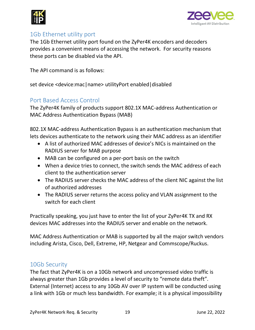



## <span id="page-18-0"></span>1Gb Ethernet utility port

The 1Gb Ethernet utility port found on the ZyPer4K encoders and decoders provides a convenient means of accessing the network. For security reasons these ports can be disabled via the API.

The API command is as follows:

set device <device:mac|name> utilityPort enabled|disabled

## <span id="page-18-1"></span>Port Based Access Control

The ZyPer4K family of products support 802.1X MAC-address Authentication or MAC Address Authentication Bypass (MAB)

802.1X MAC-address Authentication Bypass is an authentication mechanism that lets devices authenticate to the network using their MAC address as an identifier

- A list of authorized MAC addresses of device's NICs is maintained on the RADIUS server for MAB purpose
- MAB can be configured on a per-port basis on the switch
- When a device tries to connect, the switch sends the MAC address of each client to the authentication server
- The RADIUS server checks the MAC address of the client NIC against the list of authorized addresses
- The RADIUS server returns the access policy and VLAN assignment to the switch for each client

Practically speaking, you just have to enter the list of your ZyPer4K TX and RX devices MAC addresses into the RADIUS server and enable on the network.

MAC Address Authentication or MAB is supported by all the major switch vendors including Arista, Cisco, Dell, Extreme, HP, Netgear and Commscope/Ruckus.

#### <span id="page-18-2"></span>10Gb Security

The fact that ZyPer4K is on a 10Gb network and uncompressed video traffic is always greater than 1Gb provides a level of security to "remote data theft". External (Internet) access to any 10Gb AV over IP system will be conducted using a link with 1Gb or much less bandwidth. For example; it is a physical impossibility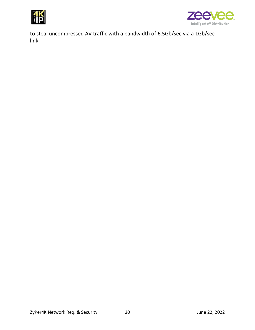



to steal uncompressed AV traffic with a bandwidth of 6.5Gb/sec via a 1Gb/sec link.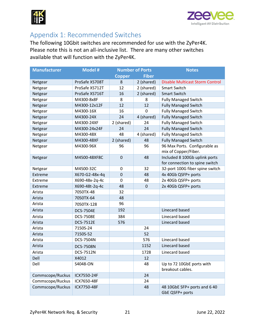



# <span id="page-20-0"></span>Appendix 1: Recommended Switches

The following 10Gbit switches are recommended for use with the ZyPer4K. Please note this is not an all-inclusive list. There are many other switches available that will function with the ZyPer4K.

| <b>Manufacturer</b> | <b>Model #</b>   | <b>Number of Ports</b> |              | <b>Notes</b>                                    |
|---------------------|------------------|------------------------|--------------|-------------------------------------------------|
|                     |                  | <b>Copper</b>          | <b>Fiber</b> |                                                 |
| Netgear             | ProSafe XS708T   | 8                      | 2 (shared)   | Disable Multicast Storm Control                 |
| Netgear             | ProSafe XS712T   | 12                     | 2 (shared)   | <b>Smart Switch</b>                             |
| Netgear             | ProSafe XS716T   | 16                     | 2 (shared)   | <b>Smart Switch</b>                             |
| Netgear             | M4300-8x8F       | 8                      | 8            | <b>Fully Managed Switch</b>                     |
| Netgear             | M4300-12x12F     | 12                     | 12           | <b>Fully Managed Switch</b>                     |
| Netgear             | M4300-16X        | 16                     | 0            | <b>Fully Managed Switch</b>                     |
| Netgear             | M4300-24X        | 24                     | 4 (shared)   | <b>Fully Managed Switch</b>                     |
| Netgear             | M4300-24XF       | 2 (shared)             | 24           | <b>Fully Managed Switch</b>                     |
| Netgear             | M4300-24x24F     | 24                     | 24           | <b>Fully Managed Switch</b>                     |
| Netgear             | M4300-48X        | 48                     | 4 (shared)   | <b>Fully Managed Switch</b>                     |
| Netgear             | M4300-48XF       | 2 (shared)             | 48           | <b>Fully Managed Switch</b>                     |
| Netgear             | M4300-96X        | 96                     | 96           | 96 Max Ports. Configurable as                   |
|                     |                  |                        |              | mix of Copper/Fiber.                            |
| Netgear             | M4500-48XF8C     | $\mathbf 0$            | 48           | Included 8 100Gb uplink ports                   |
|                     |                  |                        |              | for connection to spine switch                  |
| Netgear             | M4500-32C        | 0                      | 32           | 32-port 100G fiber spine switch                 |
| Extreme             | X670-G2-48x-4q   | $\mathbf 0$            | 48           | 4x 40Gb QSFP+ ports                             |
| Extreme             | X690-48x-2q-4c   | 0                      | 48           | 2x 40Gb QSFP+ ports                             |
| Extreme             | X690-48t-2q-4c   | 48                     | $\mathbf 0$  | 2x 40Gb QSFP+ ports                             |
| Arista              | 7050TX-48        | 32                     |              |                                                 |
| Arista              | 7050TX-64        | 48                     |              |                                                 |
| Arista              | 7050TX-128       | 96                     |              |                                                 |
| Arista              | <b>DCS-7504E</b> | 192                    |              | Linecard based                                  |
| Arista              | <b>DCS-7508E</b> | 384                    |              | Linecard based                                  |
| Arista              | <b>DCS-7512E</b> | 576                    |              | Linecard based                                  |
| Arista              | 7150S-24         |                        | 24           |                                                 |
| Arista              | 7150S-52         |                        | 52           |                                                 |
| Arista              | DCS-7504N        |                        | 576          | Linecard based                                  |
| Arista              | <b>DCS-7508N</b> |                        | 1152         | Linecard based                                  |
| Arista              | <b>DCS-7512N</b> |                        | 1728         | Linecard based                                  |
| Dell                | X4012            |                        | 12           |                                                 |
| Dell                | S4048-ON         |                        | 48           | Up to 72 10GbE ports with                       |
|                     |                  |                        |              | breakout cables.                                |
| Commscope/Ruckus    | ICX7550-24F      |                        | 24           |                                                 |
| Commscope/Ruckus    | ICX7650-48F      |                        | 24           |                                                 |
| Commscope/Ruckus    | ICX7750-48F      |                        | 48           | 48 10GbE SFP+ ports and 6 40<br>GbE QSFP+ ports |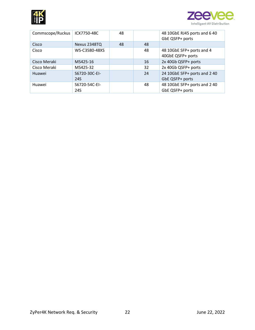



| Commscope/Ruckus | ICX7750-48C          | 48 |    | 48 10GbE RJ45 ports and 6 40<br>GbE QSFP+ ports |
|------------------|----------------------|----|----|-------------------------------------------------|
| Cisco            | Nexus 2348TQ         | 48 | 48 |                                                 |
| Cisco            | WS-C3580-48XS        |    | 48 | 48 10GbE SFP+ ports and 4<br>40GbE QSFP+ ports  |
| Cisco Meraki     | MS425-16             |    | 16 | 2x 40Gb QSFP+ ports                             |
| Cisco Meraki     | MS425-32             |    | 32 | 2x 40Gb QSFP+ ports                             |
| Huawei           | S6720-30C-EI-<br>24S |    | 24 | 24 10GbE SFP+ ports and 2 40<br>GbE QSFP+ ports |
| Huawei           | S6720-54C-EI-<br>24S |    | 48 | 48 10GbE SFP+ ports and 2 40<br>GbE QSFP+ ports |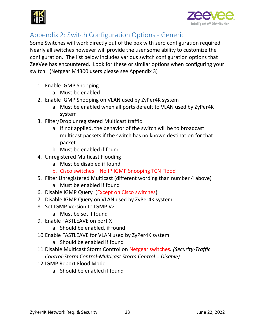



# <span id="page-22-0"></span>Appendix 2: Switch Configuration Options - Generic

Some Switches will work directly out of the box with zero configuration required. Nearly all switches however will provide the user some ability to customize the configuration. The list below includes various switch configuration options that ZeeVee has encountered. Look for these or similar options when configuring your switch. (Netgear M4300 users please see Appendix 3)

- 1. Enable IGMP Snooping
	- a. Must be enabled
- 2. Enable IGMP Snooping on VLAN used by ZyPer4K system
	- a. Must be enabled when all ports default to VLAN used by ZyPer4K system
- 3. Filter/Drop unregistered Multicast traffic
	- a. If not applied, the behavior of the switch will be to broadcast multicast packets if the switch has no known destination for that packet.
	- b. Must be enabled if found
- 4. Unregistered Multicast Flooding
	- a. Must be disabled if found
	- b. Cisco switches No IP IGMP Snooping TCN Flood
- 5. Filter Unregistered Multicast (different wording than number 4 above)
	- a. Must be enabled if found
- 6. Disable IGMP Query (Except on Cisco switches)
- 7. Disable IGMP Query on VLAN used by ZyPer4K system
- 8. Set IGMP Version to IGMP V2
	- a. Must be set if found
- 9. Enable FASTLEAVE on port X
	- a. Should be enabled, if found
- 10.Enable FASTLEAVE for VLAN used by ZyPer4K system
	- a. Should be enabled if found
- 11.Disable Multicast Storm Control on Netgear switches*. (Security-Traffic Control-Storm Control-Multicast Storm Control = Disable)*
- 12.IGMP Report Flood Mode
	- a. Should be enabled if found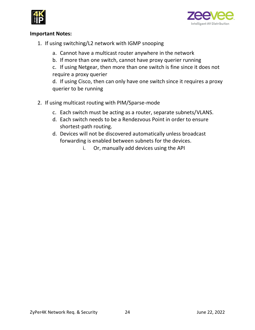



#### **Important Notes:**

- 1. If using switching/L2 network with IGMP snooping
	- a. Cannot have a multicast router anywhere in the network
	- b. If more than one switch, cannot have proxy querier running
	- c. If using Netgear, then more than one switch is fine since it does not require a proxy querier

d. If using Cisco, then can only have one switch since it requires a proxy querier to be running

- 2. If using multicast routing with PIM/Sparse-mode
	- c. Each switch must be acting as a router, separate subnets/VLANS.
	- d. Each switch needs to be a Rendezvous Point in order to ensure shortest-path routing.
	- d. Devices will not be discovered automatically unless broadcast forwarding is enabled between subnets for the devices.
		- i. Or, manually add devices using the API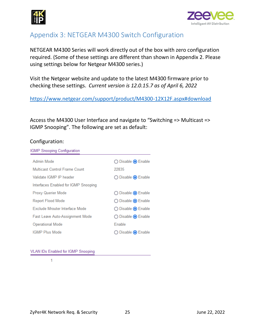



# <span id="page-24-0"></span>Appendix 3: NETGEAR M4300 Switch Configuration

NETGEAR M4300 Series will work directly out of the box with zero configuration required. (Some of these settings are different than shown in Appendix 2. Please using settings below for Netgear M4300 series.)

Visit the Netgear website and update to the latest M4300 firmware prior to checking these settings. *Current version is 12.0.15.7 as of April 6, 2022*

<https://www.netgear.com/support/product/M4300-12X12F.aspx#download>

Access the M4300 User Interface and navigate to "Switching => Multicast => IGMP Snooping". The following are set as default:

#### Configuration:

| Admin Mode                             | ◯ Disable ⊙ Enable          |
|----------------------------------------|-----------------------------|
| Multicast Control Frame Count          | 22835                       |
| Validate IGMP IP header                | ◯ Disable ⊙ Enable          |
| Interfaces Enabled for IGMP Snooping   |                             |
| Proxy Querier Mode                     | ◯ Disable ⊙ Enable          |
| Report Flood Mode                      | ◯ Disable ⊙ Enable          |
| Exclude Mrouter Interface Mode         | ◯ Disable ● Enable          |
| <b>Fast Leave Auto-Assignment Mode</b> | ◯ Disable ⊙ Enable          |
| <b>Operational Mode</b>                | Enable                      |
| <b>IGMP Plus Mode</b>                  | Disable <sup>O</sup> Enable |

#### **VLAN IDs Enabled for IGMP Snooping**

1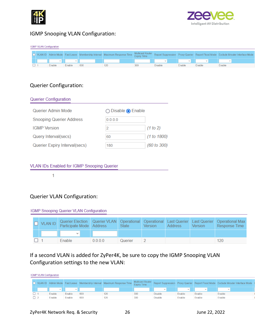



#### IGMP Snooping VLAN Configuration:

| <b>IGMP VLAN Configuration</b>                                                  |  |                                                                                                    |        |     |     |     |         |        |        |        |
|---------------------------------------------------------------------------------|--|----------------------------------------------------------------------------------------------------|--------|-----|-----|-----|---------|--------|--------|--------|
| VLAN ID   Admin Mode   Fast Leave   Membership Interval   Maximum Response Time |  | Multicast Router Report Suppression Proxy Querier Report Flood Mode Exclude Mrouter Interface Mode |        |     |     |     |         |        |        |        |
|                                                                                 |  |                                                                                                    |        |     |     |     | $\sim$  |        |        | $\sim$ |
|                                                                                 |  | Enable                                                                                             | Enable | 600 | 120 | 300 | Disable | Enable | Enable | Enable |

#### Querier Configuration:

| <b>Querier Configuration</b>    |                                      |             |
|---------------------------------|--------------------------------------|-------------|
| Querier Admin Mode              | $\bigcirc$ Disable $\bigcirc$ Enable |             |
| <b>Snooping Querier Address</b> | 0.0.0.0                              |             |
| <b>IGMP</b> Version             | 2                                    | (1 to 2)    |
| Query Interval(secs)            | 60                                   | (1 to 1800) |
| Querier Expiry Interval(secs)   | 180                                  | (60 to 300) |

#### **VLAN IDs Enabled for IGMP Snooping Querier**

 $\mathbf{1}$ 

## Querier VLAN Configuration:

#### IGMP Snooping Querier VLAN Configuration

| $\Box$ VLAN ID | Participate Mode Address |        | <b>State</b> | <b>Version</b> | <b>Address</b> | <b>Version</b> | Querier Election   Querier VLAN   Operational   Operational   Last Querier   Last Querier   Operational Max<br>Response Time |
|----------------|--------------------------|--------|--------------|----------------|----------------|----------------|------------------------------------------------------------------------------------------------------------------------------|
|                |                          |        |              |                |                |                |                                                                                                                              |
|                | <b>Enable</b>            | $0000$ | Querier      |                |                |                | 120                                                                                                                          |

## If a second VLAN is added for ZyPer4K, be sure to copy the IGMP Snooping VLAN Configuration settings to the new VLAN:

|                                                                         | <b>IGMP VLAN Configuration</b> |                |                                               |     |     |     |                                                                                   |               |        |              |
|-------------------------------------------------------------------------|--------------------------------|----------------|-----------------------------------------------|-----|-----|-----|-----------------------------------------------------------------------------------|---------------|--------|--------------|
| VLAN ID Admin Mode Fast Leave Membership Interval Maximum Response Time |                                |                | <b>Multicast Router</b><br><b>Expiry Time</b> |     |     |     | Report Suppression Proxy Querier Report Flood Mode Exclude Mrouter Interface Mode |               |        |              |
|                                                                         |                                | $\mathbf{v}$ . | $\sim$                                        |     |     |     | $\sim$                                                                            | $\mathcal{L}$ | $\sim$ | $\checkmark$ |
|                                                                         |                                | Enable         | Enable                                        | 600 | 120 | 300 | <b>Disable</b>                                                                    | Enable        | Enable | Enable       |
|                                                                         |                                | Enable         | Enable                                        | 600 | 120 | 300 | <b>Disable</b>                                                                    | Enable        | Enable | Enable       |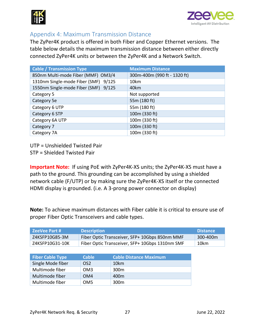



## <span id="page-26-0"></span>Appendix 4: Maximum Transmission Distance

The ZyPer4K product is offered in both Fiber and Copper Ethernet versions. The table below details the maximum transmission distance between either directly connected ZyPer4K units or between the ZyPer4K and a Network Switch.

| <b>Cable / Transmission Type</b>     | <b>Maximum Distance</b>      |
|--------------------------------------|------------------------------|
| 850nm Multi-mode Fiber (MMF) OM3/4   | 300m-400m (990 ft - 1320 ft) |
| 1310nm Single-mode Fiber (SMF) 9/125 | 10km                         |
| 1550nm Single-mode Fiber (SMF) 9/125 | 40km                         |
| Category 5                           | Not supported                |
| Category 5e                          | 55m (180 ft)                 |
| Category 6 UTP                       | 55m (180 ft)                 |
| Category 6 STP                       | 100m (330 ft)                |
| Category 6A UTP                      | 100m (330 ft)                |
| Category 7                           | 100m (330 ft)                |
| Category 7A                          | 100m (330 ft)                |

UTP = Unshielded Twisted Pair

STP = Shielded Twisted Pair

**Important Note:** If using PoE with ZyPer4K-XS units; the ZyPer4K-XS must have a path to the ground. This grounding can be accomplished by using a shielded network cable (F/UTP) or by making sure the ZyPer4K-XS itself or the connected HDMI display is grounded. (i.e. A 3-prong power connector on display)

**Note:** To achieve maximum distances with Fiber cable it is critical to ensure use of proper Fiber Optic Transceivers and cable types.

| ZeeVee Part #   | <b>Description</b>                              | <b>Distance</b> |
|-----------------|-------------------------------------------------|-----------------|
| Z4KSFP10G85-3M  | Fiber Optic Transceiver, SFP+ 10Gbps 850nm MMF  | 300-400m        |
| Z4KSFP10G31-10K | Fiber Optic Transceiver, SFP+ 10Gbps 1310nm SMF | 10km            |

| <b>Fiber Cable Type</b> | <b>Cable</b>    | <b>Cable Distance Maximum</b> |
|-------------------------|-----------------|-------------------------------|
| Single Mode fiber       | OS <sub>2</sub> | 10km                          |
| Multimode fiber         | OM3             | 300 <sub>m</sub>              |
| Multimode fiber         | OM4             | 400 <sub>m</sub>              |
| Multimode fiber         | OM <sub>5</sub> | 300 <sub>m</sub>              |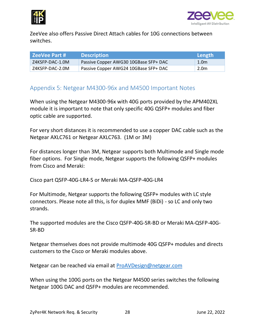



ZeeVee also offers Passive Direct Attach cables for 10G connections between switches.

| l ZeeVee Part # | <b>Description</b>                    | Length |
|-----------------|---------------------------------------|--------|
| Z4KSFP-DAC-1.0M | Passive Copper AWG30 10GBase SFP+ DAC | 1.0m   |
| Z4KSFP-DAC-2.0M | Passive Copper AWG24 10GBase SFP+ DAC | 2.0m   |

## <span id="page-27-0"></span>Appendix 5: Netgear M4300-96x and M4500 Important Notes

When using the Netgear M4300-96x with 40G ports provided by the APM402XL module it is important to note that only specific 40G QSFP+ modules and fiber optic cable are supported.

For very short distances it is recommended to use a copper DAC cable such as the Netgear AXLC761 or Netgear AXLC763. (1M or 3M)

For distances longer than 3M, Netgear supports both Multimode and Single mode fiber options. For Single mode, Netgear supports the following QSFP+ modules from Cisco and Meraki:

Cisco part QSFP-40G-LR4-S or Meraki MA-QSFP-40G-LR4

For Multimode, Netgear supports the following QSFP+ modules with LC style connectors. Please note all this, is for duplex MMF (BiDi) - so LC and only two strands.

The supported modules are the Cisco QSFP-40G-SR-BD or Meraki MA-QSFP-40G-SR-BD

Netgear themselves does not provide multimode 40G QSFP+ modules and directs customers to the Cisco or Meraki modules above.

Netgear can be reached via email at [ProAVDesign@netgear.com](mailto:ProAVDesign@netgear.com)

When using the 100G ports on the Netgear M4500 series switches the following Netgear 100G DAC and QSFP+ modules are recommended.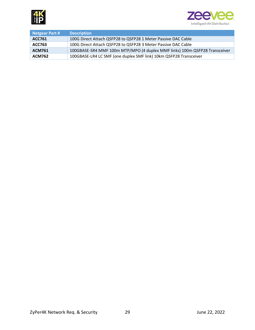



<span id="page-28-0"></span>

| <b>Netgear Part #</b> | <b>Description</b>                                                         |
|-----------------------|----------------------------------------------------------------------------|
| ACC761                | 100G Direct Attach QSFP28 to QSFP28 1 Meter Passive DAC Cable              |
| ACC763                | 100G Direct Attach QSFP28 to QSFP28 3 Meter Passive DAC Cable              |
| <b>ACM761</b>         | 100GBASE-SR4 MMF 100m MTP/MPO (4 duplex MMF links) 100m QSFP28 Transceiver |
| <b>ACM762</b>         | 100GBASE-LR4 LC SMF (one duplex SMF link) 10km QSFP28 Transceiver          |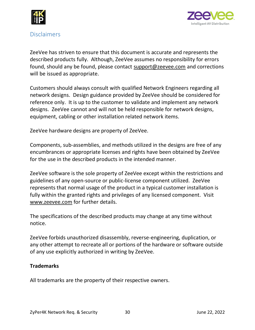



#### **Disclaimers**

ZeeVee has striven to ensure that this document is accurate and represents the described products fully. Although, ZeeVee assumes no responsibility for errors found, should any be found, please contact [support@zeevee.com](mailto:support@zeevee.com) and corrections will be issued as appropriate.

Customers should always consult with qualified Network Engineers regarding all network designs. Design guidance provided by ZeeVee should be considered for reference only. It is up to the customer to validate and implement any network designs. ZeeVee cannot and will not be held responsible for network designs, equipment, cabling or other installation related network items.

ZeeVee hardware designs are property of ZeeVee.

Components, sub-assemblies, and methods utilized in the designs are free of any encumbrances or appropriate licenses and rights have been obtained by ZeeVee for the use in the described products in the intended manner.

ZeeVee software is the sole property of ZeeVee except within the restrictions and guidelines of any open-source or public-license component utilized. ZeeVee represents that normal usage of the product in a typical customer installation is fully within the granted rights and privileges of any licensed component. Visit [www.zeevee.com](http://www.zeevee.com/) for further details.

The specifications of the described products may change at any time without notice.

ZeeVee forbids unauthorized disassembly, reverse-engineering, duplication, or any other attempt to recreate all or portions of the hardware or software outside of any use explicitly authorized in writing by ZeeVee.

#### **Trademarks**

All trademarks are the property of their respective owners.